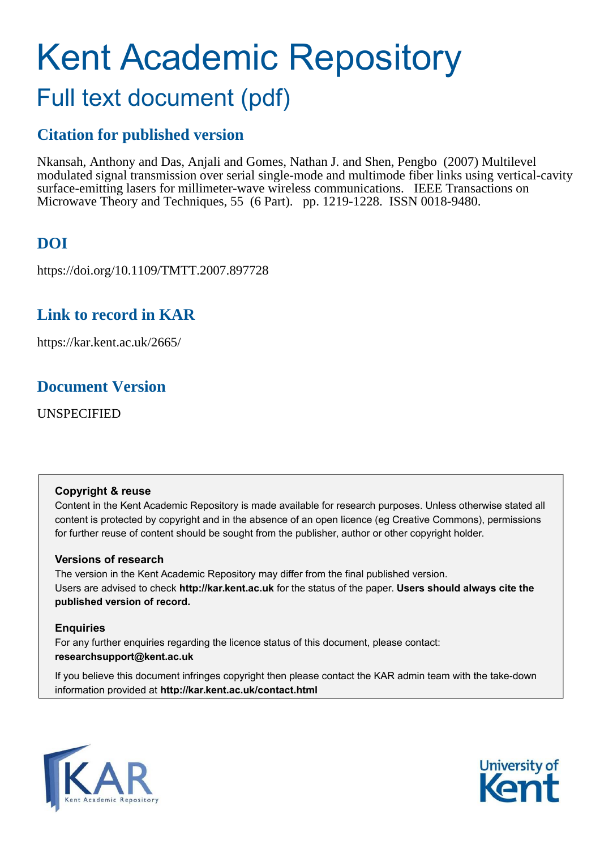# Kent Academic Repository Full text document (pdf)

## **Citation for published version**

Nkansah, Anthony and Das, Anjali and Gomes, Nathan J. and Shen, Pengbo (2007) Multilevel modulated signal transmission over serial single-mode and multimode fiber links using vertical-cavity surface-emitting lasers for millimeter-wave wireless communications. IEEE Transactions on Microwave Theory and Techniques, 55 (6 Part). pp. 1219-1228. ISSN 0018-9480.

# **DOI**

https://doi.org/10.1109/TMTT.2007.897728

### **Link to record in KAR**

https://kar.kent.ac.uk/2665/

### **Document Version**

UNSPECIFIED

### **Copyright & reuse**

Content in the Kent Academic Repository is made available for research purposes. Unless otherwise stated all content is protected by copyright and in the absence of an open licence (eg Creative Commons), permissions for further reuse of content should be sought from the publisher, author or other copyright holder.

### **Versions of research**

The version in the Kent Academic Repository may differ from the final published version. Users are advised to check **http://kar.kent.ac.uk** for the status of the paper. **Users should always cite the published version of record.**

### **Enquiries**

For any further enquiries regarding the licence status of this document, please contact: **researchsupport@kent.ac.uk**

If you believe this document infringes copyright then please contact the KAR admin team with the take-down information provided at **http://kar.kent.ac.uk/contact.html**



<span id="page-0-0"></span>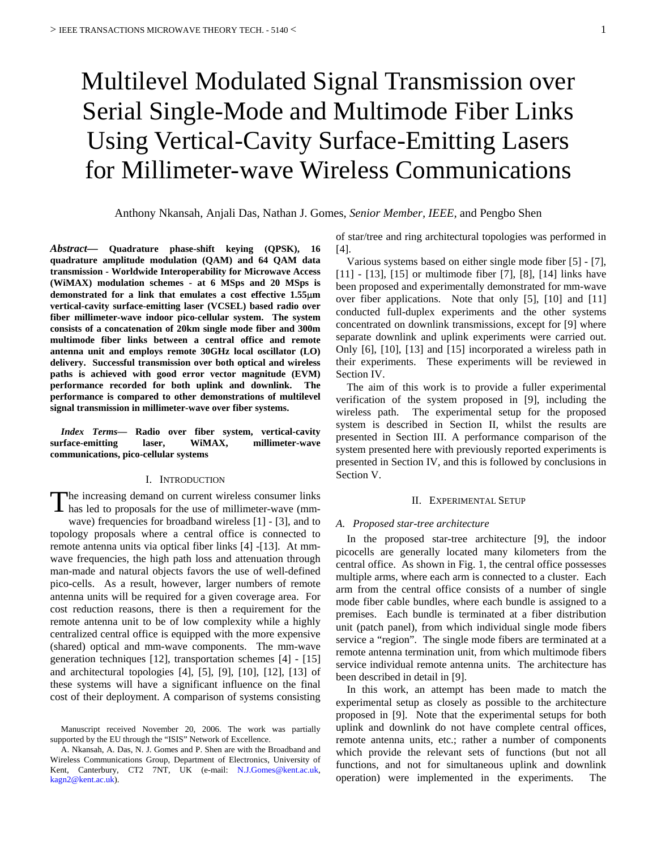# Multilevel Modulated Signal Transmission over Serial Single-Mode and Multimode Fiber Links Using Vertical-Cavity Surface-Emitting Lasers for Millimeter-wave Wireless Communications

Anthony Nkansah, Anjali Das, Nathan J. Gomes, *Senior Member, IEEE,* and Pengbo Shen

<span id="page-1-0"></span>*Abstract***— Quadrature phase-shift keying (QPSK), 16 quadrature amplitude modulation (QAM) and 64 QAM data transmission - Worldwide Interoperability for Microwave Access (WiMAX) modulation schemes - at 6 MSps and 20 MSps is demonstrated for a link that emulates a cost effective 1.55**µ**m vertical-cavity surface-emitting laser (VCSEL) based radio over fiber millimeter-wave indoor pico-cellular system. The system consists of a concatenation of 20km single mode fiber and 300m multimode fiber links between a central office and remote antenna unit and employs remote 30GHz local oscillator (LO) delivery. Successful transmission over both optical and wireless paths is achieved with good error vector magnitude (EVM) performance recorded for both uplink and downlink. The performance is compared to other demonstrations of multilevel signal transmission in millimeter-wave over fiber systems.**

*Index Terms***— Radio over fiber system, vertical-cavity surface-emitting laser, WiMAX, millimeter-wave communications, pico-cellular systems** 

#### I. INTRODUCTION

The increasing demand on current wireless consumer links<br>has led to proposals for the use of millimeter-wave (mmhas led to proposals for the use of millimeter-wave (mmwave) frequencies for broadband wireless [\[1\]](#page-7-0) - [\[3\],](#page-7-1) and to topology proposals where a central office is connected to remote antenna units via optical fiber links [\[4\]](#page-7-2) [-\[13\].](#page-7-3) At mmwave frequencies, the high path loss and attenuation through man-made and natural objects favors the use of well-defined pico-cells. As a result, however, larger numbers of remote antenna units will be required for a given coverage area. For cost reduction reasons, there is then a requirement for the remote antenna unit to be of low complexity while a highly centralized central office is equipped with the more expensive (shared) optical and mm-wave components. The mm-wave generation techniques [\[12\],](#page-7-4) transportation schemes [\[4\]](#page-7-2) - [\[15\]](#page-7-5)  and architectural topologies [\[4\],](#page-7-2) [\[5\],](#page-7-6) [\[9\],](#page-7-7) [\[10\],](#page-7-8) [\[12\],](#page-7-4) [\[13\]](#page-7-3) of these systems will have a significant influence on the final cost of their deployment. A comparison of systems consisting

of star/tree and ring architectural topologies was performed in [\[4\].](#page-7-2)

Various systems based on either single mode fiber [\[5\]](#page-7-6) - [\[7\],](#page-7-9) [\[11\]](#page-7-10) - [\[13\],](#page-7-3) [\[15\]](#page-7-5) or multimode fiber [\[7\],](#page-7-9) [\[8\],](#page-7-11) [\[14\]](#page-7-12) links have been proposed and experimentally demonstrated for mm-wave over fiber applications. Note that only [\[5\],](#page-7-6) [\[10\]](#page-7-8) and [\[11\]](#page-7-10)  conducted full-duplex experiments and the other systems concentrated on downlink transmissions, except for [9] where separate downlink and uplink experiments were carried out. Only [\[6\],](#page-7-13) [\[10\],](#page-7-8) [\[13\]](#page-7-3) and [\[15\]](#page-7-5) incorporated a wireless path in their experiments. These experiments will be reviewed in Section IV.

The aim of this work is to provide a fuller experimental verification of the system proposed in [\[9\],](#page-7-7) including the wireless path. The experimental setup for the proposed system is described in Section [II,](#page-0-0) whilst the results are presented in Section [III.](#page-2-0) A performance comparison of the system presented here with previously reported experiments is presented in Section [IV,](#page-5-0) and this is followed by conclusions in Section V.

#### II. EXPERIMENTAL SETUP

#### *A. Proposed star-tree architecture*

<span id="page-1-1"></span> In the proposed star-tree architecture [\[9\],](#page-7-7) the indoor picocells are generally located many kilometers from the central office. As shown in [Fig. 1,](#page-1-0) the central office possesses multiple arms, where each arm is connected to a cluster. Each arm from the central office consists of a number of single mode fiber cable bundles, where each bundle is assigned to a premises. Each bundle is terminated at a fiber distribution unit (patch panel), from which individual single mode fibers service a "region". The single mode fibers are terminated at a remote antenna termination unit, from which multimode fibers service individual remote antenna units. The architecture has been described in detail in [\[9\].](#page-7-7)

 In this work, an attempt has been made to match the experimental setup as closely as possible to the architecture proposed in [\[9\].](#page-7-7) Note that the experimental setups for both uplink and downlink do not have complete central offices, remote antenna units, etc.; rather a number of components which provide the relevant sets of functions (but not all functions, and not for simultaneous uplink and downlink operation) were implemented in the experiments. The

Manuscript received November 20, 2006. The work was partially supported by the EU through the "ISIS" Network of Excellence.

A. Nkansah, A. Das, N. J. Gomes and P. Shen are with the Broadband and Wireless Communications Group, Department of Electronics, University of Kent, Canterbury, CT2 7NT, UK (e-mail: [N.J.Gomes@kent.ac.uk,](mailto:N.J.Gomes@kent.ac.uk) [kagn2@kent.ac.uk\)](mailto:kagn2@kent.ac.uk).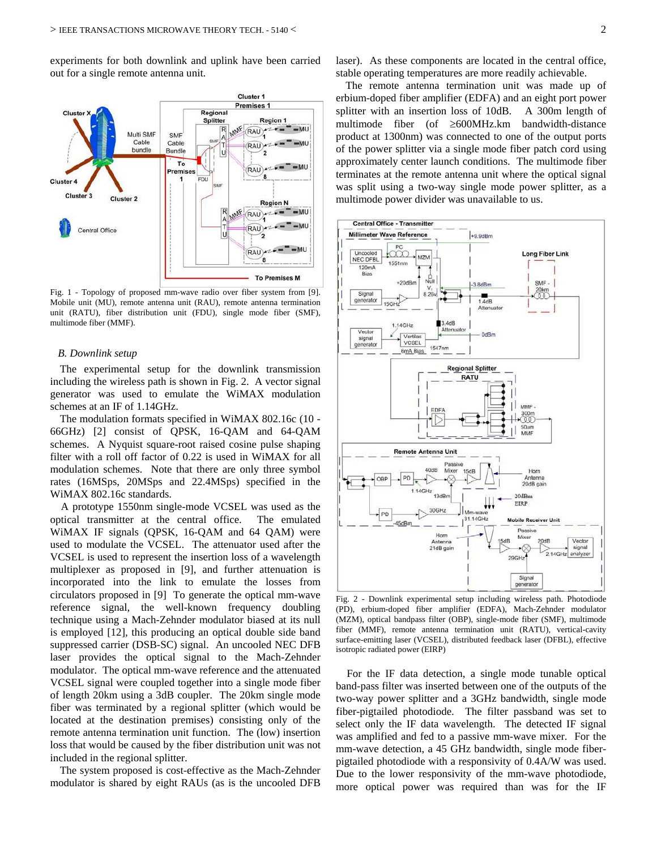experiments for both downlink and uplink have been carried out for a single remote antenna unit.



Fig. 1 - Topology of proposed mm-wave radio over fiber system from [\[9\].](#page-7-7)  Mobile unit (MU), remote antenna unit (RAU), remote antenna termination unit (RATU), fiber distribution unit (FDU), single mode fiber (SMF), multimode fiber (MMF).

#### *B. Downlink setup*

The experimental setup for the downlink transmission including the wireless path is shown in [Fig. 2.](#page-1-1) A vector signal generator was used to emulate the WiMAX modulation schemes at an IF of 1.14GHz.

The modulation formats specified in WiMAX 802.16c (10 - 66GHz) [\[2\]](#page-7-14) consist of QPSK, 16-QAM and 64-QAM schemes. A Nyquist square-root raised cosine pulse shaping filter with a roll off factor of 0.22 is used in WiMAX for all modulation schemes. Note that there are only three symbol rates (16MSps, 20MSps and 22.4MSps) specified in the WiMAX 802.16c standards.

 A prototype 1550nm single-mode VCSEL was used as the optical transmitter at the central office. The emulated WiMAX IF signals (QPSK, 16-QAM and 64 QAM) were used to modulate the VCSEL. The attenuator used after the VCSEL is used to represent the insertion loss of a wavelength multiplexer as proposed in [9], and further attenuation is incorporated into the link to emulate the losses from circulators proposed in [9] To generate the optical mm-wave reference signal, the well-known frequency doubling technique using a Mach-Zehnder modulator biased at its null is employed [\[12\],](#page-7-4) this producing an optical double side band suppressed carrier (DSB-SC) signal. An uncooled NEC DFB laser provides the optical signal to the Mach-Zehnder modulator. The optical mm-wave reference and the attenuated VCSEL signal were coupled together into a single mode fiber of length 20km using a 3dB coupler. The 20km single mode fiber was terminated by a regional splitter (which would be located at the destination premises) consisting only of the remote antenna termination unit function. The (low) insertion loss that would be caused by the fiber distribution unit was not included in the regional splitter.

The system proposed is cost-effective as the Mach-Zehnder modulator is shared by eight RAUs (as is the uncooled DFB laser). As these components are located in the central office, stable operating temperatures are more readily achievable.

The remote antenna termination unit was made up of erbium-doped fiber amplifier (EDFA) and an eight port power splitter with an insertion loss of 10dB. A 300m length of multimode fiber (of ≥600MHz.km bandwidth-distance product at 1300nm) was connected to one of the output ports of the power splitter via a single mode fiber patch cord using approximately center launch conditions. The multimode fiber terminates at the remote antenna unit where the optical signal was split using a two-way single mode power splitter, as a multimode power divider was unavailable to us.



<span id="page-2-0"></span>Fig. 2 - Downlink experimental setup including wireless path. Photodiode (PD), erbium-doped fiber amplifier (EDFA), Mach-Zehnder modulator (MZM), optical bandpass filter (OBP), single-mode fiber (SMF), multimode fiber (MMF), remote antenna termination unit (RATU), vertical-cavity surface-emitting laser (VCSEL), distributed feedback laser (DFBL), effective isotropic radiated power (EIRP)

 For the IF data detection, a single mode tunable optical band-pass filter was inserted between one of the outputs of the two-way power splitter and a 3GHz bandwidth, single mode fiber-pigtailed photodiode. The filter passband was set to select only the IF data wavelength. The detected IF signal was amplified and fed to a passive mm-wave mixer. For the mm-wave detection, a 45 GHz bandwidth, single mode fiberpigtailed photodiode with a responsivity of 0.4A/W was used. Due to the lower responsivity of the mm-wave photodiode, more optical power was required than was for the IF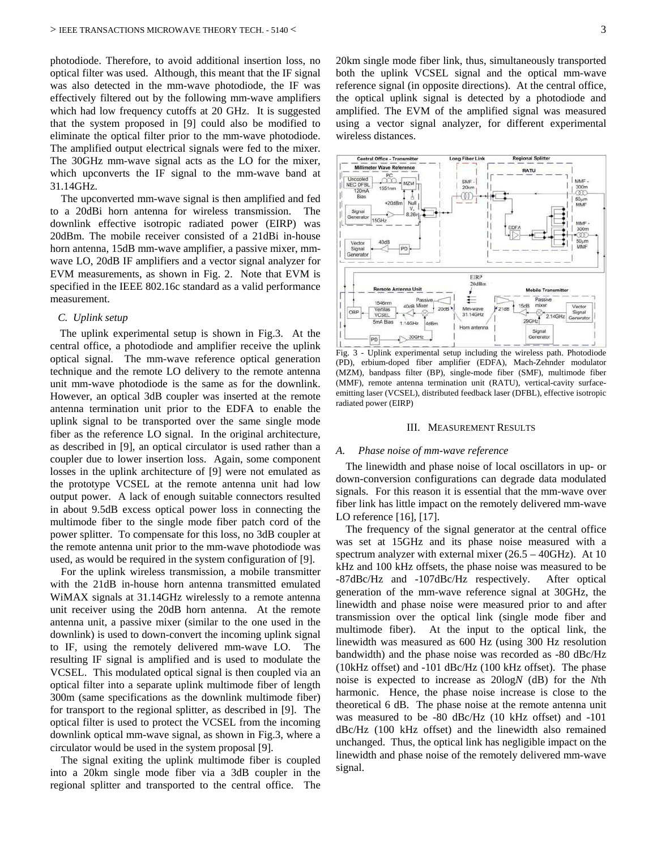photodiode. Therefore, to avoid additional insertion loss, no optical filter was used. Although, this meant that the IF signal was also detected in the mm-wave photodiode, the IF was effectively filtered out by the following mm-wave amplifiers which had low frequency cutoffs at 20 GHz. It is suggested that the system proposed in [\[9\]](#page-7-7) could also be modified to eliminate the optical filter prior to the mm-wave photodiode. The amplified output electrical signals were fed to the mixer. The 30GHz mm-wave signal acts as the LO for the mixer, which upconverts the IF signal to the mm-wave band at 31.14GHz.

 The upconverted mm-wave signal is then amplified and fed to a 20dBi horn antenna for wireless transmission. The downlink effective isotropic radiated power (EIRP) was 20dBm. The mobile receiver consisted of a 21dBi in-house horn antenna, 15dB mm-wave amplifier, a passive mixer, mmwave LO, 20dB IF amplifiers and a vector signal analyzer for EVM measurements, as shown in [Fig. 2.](#page-1-1) Note that EVM is specified in the IEEE 802.16c standard as a valid performance measurement.

#### *C. Uplink setup*

The uplink experimental setup is shown in Fig.3. At the central office, a photodiode and amplifier receive the uplink optical signal. The mm-wave reference optical generation technique and the remote LO delivery to the remote antenna unit mm-wave photodiode is the same as for the downlink. However, an optical 3dB coupler was inserted at the remote antenna termination unit prior to the EDFA to enable the uplink signal to be transported over the same single mode fiber as the reference LO signal. In the original architecture, as described in [\[9\],](#page-7-7) an optical circulator is used rather than a coupler due to lower insertion loss. Again, some component losses in the uplink architecture of [\[9\]](#page-7-7) were not emulated as the prototype VCSEL at the remote antenna unit had low output power. A lack of enough suitable connectors resulted in about 9.5dB excess optical power loss in connecting the multimode fiber to the single mode fiber patch cord of the power splitter. To compensate for this loss, no 3dB coupler at the remote antenna unit prior to the mm-wave photodiode was used, as would be required in the system configuration of [9].

 For the uplink wireless transmission, a mobile transmitter with the 21dB in-house horn antenna transmitted emulated WiMAX signals at 31.14GHz wirelessly to a remote antenna unit receiver using the 20dB horn antenna. At the remote antenna unit, a passive mixer (similar to the one used in the downlink) is used to down-convert the incoming uplink signal to IF, using the remotely delivered mm-wave LO. The resulting IF signal is amplified and is used to modulate the VCSEL. This modulated optical signal is then coupled via an optical filter into a separate uplink multimode fiber of length 300m (same specifications as the downlink multimode fiber) for transport to the regional splitter, as described in [\[9\].](#page-7-7) The optical filter is used to protect the VCSEL from the incoming downlink optical mm-wave signal, as shown in Fig.3, where a circulator would be used in the system proposal [9].

 The signal exiting the uplink multimode fiber is coupled into a 20km single mode fiber via a 3dB coupler in the regional splitter and transported to the central office. The 20km single mode fiber link, thus, simultaneously transported both the uplink VCSEL signal and the optical mm-wave reference signal (in opposite directions). At the central office, the optical uplink signal is detected by a photodiode and amplified. The EVM of the amplified signal was measured using a vector signal analyzer, for different experimental wireless distances.



Fig. 3 - Uplink experimental setup including the wireless path. Photodiode (PD), erbium-doped fiber amplifier (EDFA), Mach-Zehnder modulator (MZM), bandpass filter (BP), single-mode fiber (SMF), multimode fiber (MMF), remote antenna termination unit (RATU), vertical-cavity surfaceemitting laser (VCSEL), distributed feedback laser (DFBL), effective isotropic radiated power (EIRP)

#### III. MEASUREMENT RESULTS

#### *A. Phase noise of mm-wave reference*

<span id="page-3-0"></span>The linewidth and phase noise of local oscillators in up- or down-conversion configurations can degrade data modulated signals. For this reason it is essential that the mm-wave over fiber link has little impact on the remotely delivered mm-wave LO reference [\[16\],](#page-7-15) [\[17\].](#page-7-16)

<span id="page-3-1"></span>The frequency of the signal generator at the central office was set at 15GHz and its phase noise measured with a spectrum analyzer with external mixer (26.5 – 40GHz). At 10 kHz and 100 kHz offsets, the phase noise was measured to be -87dBc/Hz and -107dBc/Hz respectively. After optical generation of the mm-wave reference signal at 30GHz, the linewidth and phase noise were measured prior to and after transmission over the optical link (single mode fiber and multimode fiber). At the input to the optical link, the linewidth was measured as 600 Hz (using 300 Hz resolution bandwidth) and the phase noise was recorded as -80 dBc/Hz (10kHz offset) and -101 dBc/Hz (100 kHz offset). The phase noise is expected to increase as 20log*N* (dB) for the *N*th harmonic. Hence, the phase noise increase is close to the theoretical 6 dB. The phase noise at the remote antenna unit was measured to be -80 dBc/Hz (10 kHz offset) and -101 dBc/Hz (100 kHz offset) and the linewidth also remained unchanged. Thus, the optical link has negligible impact on the linewidth and phase noise of the remotely delivered mm-wave signal.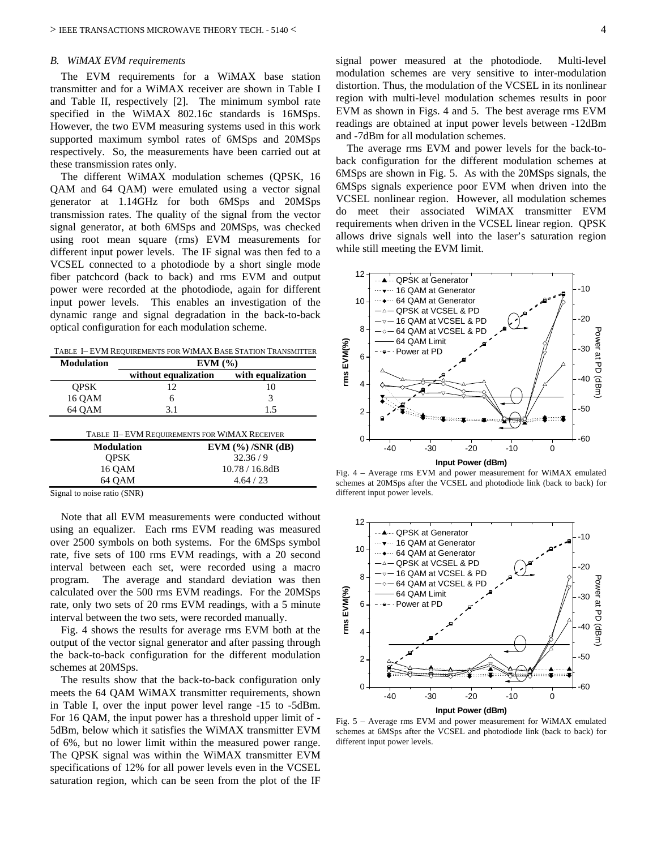#### *B. WiMAX EVM requirements*

 The EVM requirements for a WiMAX base station transmitter and for a WiMAX receiver are shown in Table I and Table II, respectively [\[2\].](#page-7-14) The minimum symbol rate specified in the WiMAX 802.16c standards is 16MSps. However, the two EVM measuring systems used in this work supported maximum symbol rates of 6MSps and 20MSps respectively. So, the measurements have been carried out at these transmission rates only.

 The different WiMAX modulation schemes (QPSK, 16 QAM and 64 QAM) were emulated using a vector signal generator at 1.14GHz for both 6MSps and 20MSps transmission rates. The quality of the signal from the vector signal generator, at both 6MSps and 20MSps, was checked using root mean square (rms) EVM measurements for different input power levels. The IF signal was then fed to a VCSEL connected to a photodiode by a short single mode fiber patchcord (back to back) and rms EVM and output power were recorded at the photodiode, again for different input power levels. This enables an investigation of the dynamic range and signal degradation in the back-to-back optical configuration for each modulation scheme.

TABLE I– EVM REQUIREMENTS FOR WIMAX BASE STATION TRANSMITTER

| <b>Modulation</b>                            | EVM(%)               |                     |  |  |  |  |
|----------------------------------------------|----------------------|---------------------|--|--|--|--|
|                                              | without equalization | with equalization   |  |  |  |  |
| <b>OPSK</b>                                  | 12                   | 10                  |  |  |  |  |
| 16 QAM                                       | 6                    | 3                   |  |  |  |  |
| 64 OAM                                       | 3.1                  | 1.5                 |  |  |  |  |
| TABLE II-EVM REQUIREMENTS FOR WIMAX RECEIVER |                      |                     |  |  |  |  |
| <b>Modulation</b>                            |                      | $EVM$ (%) /SNR (dB) |  |  |  |  |
| <b>OPSK</b>                                  | 32.36/9              |                     |  |  |  |  |
| 16 QAM                                       | 10.78 / 16.8dB       |                     |  |  |  |  |
| 64 OAM                                       |                      | 4.64/23             |  |  |  |  |
| Signal to noise ratio (SNR)                  |                      |                     |  |  |  |  |

<span id="page-4-0"></span> Note that all EVM measurements were conducted without using an equalizer. Each rms EVM reading was measured over 2500 symbols on both systems. For the 6MSps symbol rate, five sets of 100 rms EVM readings, with a 20 second interval between each set, were recorded using a macro program. The average and standard deviation was then calculated over the 500 rms EVM readings. For the 20MSps rate, only two sets of 20 rms EVM readings, with a 5 minute interval between the two sets, were recorded manually.

 [Fig. 4](#page-3-0) shows the results for average rms EVM both at the output of the vector signal generator and after passing through the back-to-back configuration for the different modulation schemes at 20MSps.

The results show that the back-to-back configuration only meets the 64 QAM WiMAX transmitter requirements, shown in Table I, over the input power level range -15 to -5dBm. For 16 QAM, the input power has a threshold upper limit of - 5dBm, below which it satisfies the WiMAX transmitter EVM of 6%, but no lower limit within the measured power range. The QPSK signal was within the WiMAX transmitter EVM specifications of 12% for all power levels even in the VCSEL saturation region, which can be seen from the plot of the IF signal power measured at the photodiode. Multi-level modulation schemes are very sensitive to inter-modulation distortion. Thus, the modulation of the VCSEL in its nonlinear region with multi-level modulation schemes results in poor EVM as shown in Figs. 4 and 5. The best average rms EVM readings are obtained at input power levels between -12dBm and -7dBm for all modulation schemes.

 The average rms EVM and power levels for the back-toback configuration for the different modulation schemes at 6MSps are shown in [Fig. 5.](#page-3-1) As with the 20MSps signals, the 6MSps signals experience poor EVM when driven into the VCSEL nonlinear region. However, all modulation schemes do meet their associated WiMAX transmitter EVM requirements when driven in the VCSEL linear region. QPSK allows drive signals well into the laser's saturation region while still meeting the EVM limit.

<span id="page-4-1"></span>

Fig. 4 – Average rms EVM and power measurement for WiMAX emulated schemes at 20MSps after the VCSEL and photodiode link (back to back) for different input power levels.

<span id="page-4-2"></span>

Fig. 5 – Average rms EVM and power measurement for WiMAX emulated schemes at 6MSps after the VCSEL and photodiode link (back to back) for different input power levels.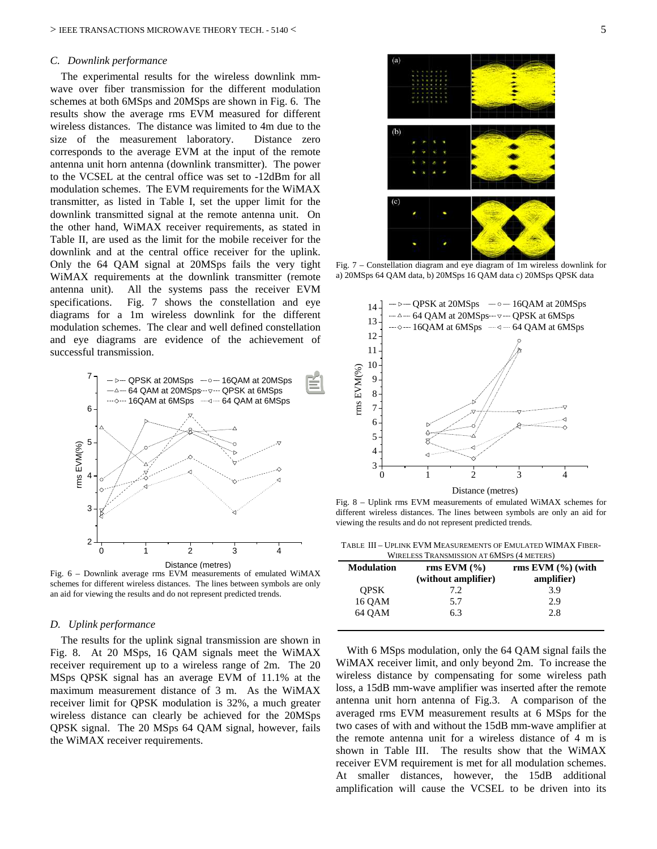#### *C. Downlink performance*

 The experimental results for the wireless downlink mmwave over fiber transmission for the different modulation schemes at both 6MSps and 20MSps are shown in [Fig. 6.](#page-4-0) The results show the average rms EVM measured for different wireless distances. The distance was limited to 4m due to the size of the measurement laboratory. Distance zero corresponds to the average EVM at the input of the remote antenna unit horn antenna (downlink transmitter). The power to the VCSEL at the central office was set to -12dBm for all modulation schemes. The EVM requirements for the WiMAX transmitter, as listed in Table I, set the upper limit for the downlink transmitted signal at the remote antenna unit. On the other hand, WiMAX receiver requirements, as stated in Table II, are used as the limit for the mobile receiver for the downlink and at the central office receiver for the uplink. Only the 64 QAM signal at 20MSps fails the very tight WiMAX requirements at the downlink transmitter (remote antenna unit). All the systems pass the receiver EVM specifications. [Fig. 7](#page-4-1) shows the constellation and eye diagrams for a 1m wireless downlink for the different modulation schemes. The clear and well defined constellation and eye diagrams are evidence of the achievement of successful transmission.



<span id="page-5-0"></span>Fig. 6 – Downlink average rms EVM measurements of emulated WiMAX schemes for different wireless distances. The lines between symbols are only an aid for viewing the results and do not represent predicted trends.

#### *D. Uplink performance*

 The results for the uplink signal transmission are shown in [Fig. 8.](#page-4-2) At 20 MSps, 16 QAM signals meet the WiMAX receiver requirement up to a wireless range of 2m. The 20 MSps QPSK signal has an average EVM of 11.1% at the maximum measurement distance of 3 m. As the WiMAX receiver limit for QPSK modulation is 32%, a much greater wireless distance can clearly be achieved for the 20MSps QPSK signal. The 20 MSps 64 QAM signal, however, fails the WiMAX receiver requirements.



Fig. 7 – Constellation diagram and eye diagram of 1m wireless downlink for a) 20MSps 64 QAM data, b) 20MSps 16 QAM data c) 20MSps QPSK data



Fig. 8 – Uplink rms EVM measurements of emulated WiMAX schemes for different wireless distances. The lines between symbols are only an aid for viewing the results and do not represent predicted trends.

TABLE III – UPLINK EVM MEASUREMENTS OF EMULATED WIMAX FIBER-With  $m \times m$  Transmission  $\pi$  6Ms  $\pi$  6Ms  $\pi$  6Ms  $\pi$  6Ms  $\pi$  6Ms  $\pi$  6Ms  $\pi$  6Ms  $\pi$  6Ms  $\pi$  6Ms  $\pi$  6Ms  $\pi$  6Ms  $\pi$  6Ms  $\pi$  6Ms  $\pi$  6Ms  $\pi$  6Ms  $\pi$  6Ms  $\pi$  6Ms  $\pi$  6Ms  $\pi$  6Ms  $\pi$  6Ms  $\pi$  6Ms  $\pi$  6M

| WIRELESS TRANSMISSION AT 01013PS (4 METERS) |                     |                         |  |  |  |  |  |
|---------------------------------------------|---------------------|-------------------------|--|--|--|--|--|
| <b>Modulation</b>                           | rms EVM $(\% )$     | rms $EVM$ $(\% )$ (with |  |  |  |  |  |
|                                             | (without amplifier) | amplifier)              |  |  |  |  |  |
| <b>OPSK</b>                                 | 7.2                 | 3.9                     |  |  |  |  |  |
| 16 OAM                                      | 5.7                 | 2.9                     |  |  |  |  |  |
| 64 OAM                                      | 6.3                 | 2.8                     |  |  |  |  |  |
|                                             |                     |                         |  |  |  |  |  |

With 6 MSps modulation, only the 64 QAM signal fails the WiMAX receiver limit, and only beyond 2m. To increase the wireless distance by compensating for some wireless path loss, a 15dB mm-wave amplifier was inserted after the remote antenna unit horn antenna of Fig.3. A comparison of the averaged rms EVM measurement results at 6 MSps for the two cases of with and without the 15dB mm-wave amplifier at the remote antenna unit for a wireless distance of 4 m is shown in Table III. The results show that the WiMAX receiver EVM requirement is met for all modulation schemes. At smaller distances, however, the 15dB additional amplification will cause the VCSEL to be driven into its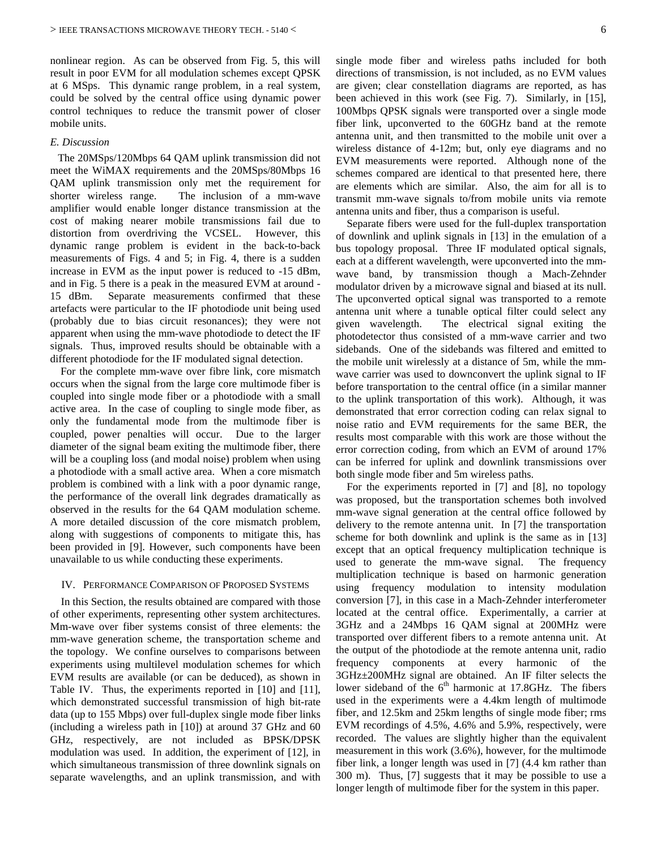nonlinear region. As can be observed from [Fig. 5,](#page-3-1) this will result in poor EVM for all modulation schemes except QPSK at 6 MSps. This dynamic range problem, in a real system, could be solved by the central office using dynamic power control techniques to reduce the transmit power of closer mobile units.

#### *E. Discussion*

The 20MSps/120Mbps 64 QAM uplink transmission did not meet the WiMAX requirements and the 20MSps/80Mbps 16 QAM uplink transmission only met the requirement for shorter wireless range. The inclusion of a mm-wave amplifier would enable longer distance transmission at the cost of making nearer mobile transmissions fail due to distortion from overdriving the VCSEL. However, this dynamic range problem is evident in the back-to-back measurements of Figs. 4 and 5; in Fig. 4, there is a sudden increase in EVM as the input power is reduced to -15 dBm, and in Fig. 5 there is a peak in the measured EVM at around - 15 dBm. Separate measurements confirmed that these artefacts were particular to the IF photodiode unit being used (probably due to bias circuit resonances); they were not apparent when using the mm-wave photodiode to detect the IF signals. Thus, improved results should be obtainable with a different photodiode for the IF modulated signal detection.

 For the complete mm-wave over fibre link, core mismatch occurs when the signal from the large core multimode fiber is coupled into single mode fiber or a photodiode with a small active area. In the case of coupling to single mode fiber, as only the fundamental mode from the multimode fiber is coupled, power penalties will occur. Due to the larger diameter of the signal beam exiting the multimode fiber, there will be a coupling loss (and modal noise) problem when using a photodiode with a small active area. When a core mismatch problem is combined with a link with a poor dynamic range, the performance of the overall link degrades dramatically as observed in the results for the 64 QAM modulation scheme. A more detailed discussion of the core mismatch problem, along with suggestions of components to mitigate this, has been provided in [\[9\].](#page-7-7) However, such components have been unavailable to us while conducting these experiments.

#### IV. PERFORMANCE COMPARISON OF PROPOSED SYSTEMS

In this Section, the results obtained are compared with those of other experiments, representing other system architectures. Mm-wave over fiber systems consist of three elements: the mm-wave generation scheme, the transportation scheme and the topology. We confine ourselves to comparisons between experiments using multilevel modulation schemes for which EVM results are available (or can be deduced), as shown in Table IV. Thus, the experiments reported in [10] and [11], which demonstrated successful transmission of high bit-rate data (up to 155 Mbps) over full-duplex single mode fiber links (including a wireless path in [10]) at around 37 GHz and 60 GHz, respectively, are not included as BPSK/DPSK modulation was used. In addition, the experiment of [12], in which simultaneous transmission of three downlink signals on separate wavelengths, and an uplink transmission, and with

single mode fiber and wireless paths included for both directions of transmission, is not included, as no EVM values are given; clear constellation diagrams are reported, as has been achieved in this work (see Fig. 7). Similarly, in [\[15\],](#page-7-5) 100Mbps QPSK signals were transported over a single mode fiber link, upconverted to the 60GHz band at the remote antenna unit, and then transmitted to the mobile unit over a wireless distance of 4-12m; but, only eye diagrams and no EVM measurements were reported. Although none of the schemes compared are identical to that presented here, there are elements which are similar. Also, the aim for all is to transmit mm-wave signals to/from mobile units via remote antenna units and fiber, thus a comparison is useful.

Separate fibers were used for the full-duplex transportation of downlink and uplink signals in [13] in the emulation of a bus topology proposal. Three IF modulated optical signals, each at a different wavelength, were upconverted into the mmwave band, by transmission though a Mach-Zehnder modulator driven by a microwave signal and biased at its null. The upconverted optical signal was transported to a remote antenna unit where a tunable optical filter could select any given wavelength. The electrical signal exiting the photodetector thus consisted of a mm-wave carrier and two sidebands. One of the sidebands was filtered and emitted to the mobile unit wirelessly at a distance of 5m, while the mmwave carrier was used to downconvert the uplink signal to IF before transportation to the central office (in a similar manner to the uplink transportation of this work). Although, it was demonstrated that error correction coding can relax signal to noise ratio and EVM requirements for the same BER, the results most comparable with this work are those without the error correction coding, from which an EVM of around 17% can be inferred for uplink and downlink transmissions over both single mode fiber and 5m wireless paths.

For the experiments reported in [7] and [8], no topology was proposed, but the transportation schemes both involved mm-wave signal generation at the central office followed by delivery to the remote antenna unit. In [7] the transportation scheme for both downlink and uplink is the same as in [13] except that an optical frequency multiplication technique is used to generate the mm-wave signal. The frequency multiplication technique is based on harmonic generation using frequency modulation to intensity modulation conversion [7], in this case in a Mach-Zehnder interferometer located at the central office. Experimentally, a carrier at 3GHz and a 24Mbps 16 QAM signal at 200MHz were transported over different fibers to a remote antenna unit. At the output of the photodiode at the remote antenna unit, radio frequency components at every harmonic of the 3GHz±200MHz signal are obtained. An IF filter selects the lower sideband of the  $6<sup>th</sup>$  harmonic at 17.8GHz. The fibers used in the experiments were a 4.4km length of multimode fiber, and 12.5km and 25km lengths of single mode fiber; rms EVM recordings of 4.5%, 4.6% and 5.9%, respectively, were recorded. The values are slightly higher than the equivalent measurement in this work (3.6%), however, for the multimode fiber link, a longer length was used in [7] (4.4 km rather than 300 m). Thus, [\[7\]](#page-7-9) suggests that it may be possible to use a longer length of multimode fiber for the system in this paper.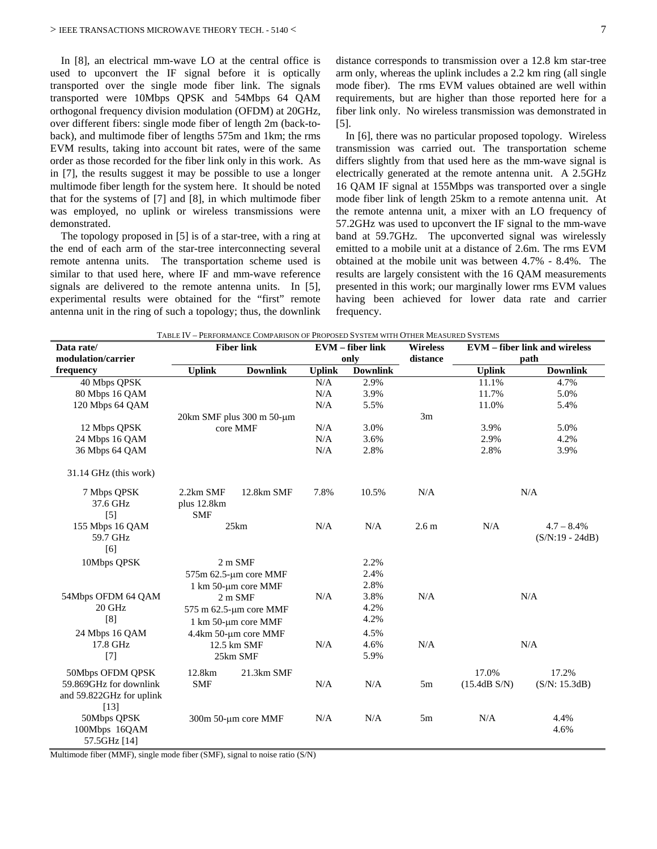In [8], an electrical mm-wave LO at the central office is used to upconvert the IF signal before it is optically transported over the single mode fiber link. The signals transported were 10Mbps QPSK and 54Mbps 64 QAM orthogonal frequency division modulation (OFDM) at 20GHz, over different fibers: single mode fiber of length 2m (back-toback), and multimode fiber of lengths 575m and 1km; the rms EVM results, taking into account bit rates, were of the same order as those recorded for the fiber link only in this work. As in [7], the results suggest it may be possible to use a longer multimode fiber length for the system here. It should be noted that for the systems of [7] and [8], in which multimode fiber was employed, no uplink or wireless transmissions were demonstrated.

The topology proposed in [5] is of a star-tree, with a ring at the end of each arm of the star-tree interconnecting several remote antenna units. The transportation scheme used is similar to that used here, where IF and mm-wave reference signals are delivered to the remote antenna units. In [5], experimental results were obtained for the "first" remote antenna unit in the ring of such a topology; thus, the downlink <span id="page-7-2"></span>distance corresponds to transmission over a 12.8 km star-tree arm only, whereas the uplink includes a 2.2 km ring (all single mode fiber). The rms EVM values obtained are well within requirements, but are higher than those reported here for a fiber link only. No wireless transmission was demonstrated in [5].

<span id="page-7-13"></span><span id="page-7-11"></span><span id="page-7-10"></span><span id="page-7-9"></span><span id="page-7-8"></span><span id="page-7-7"></span><span id="page-7-6"></span>In [6], there was no particular proposed topology. Wireless transmission was carried out. The transportation scheme differs slightly from that used here as the mm-wave signal is electrically generated at the remote antenna unit. A 2.5GHz 16 QAM IF signal at 155Mbps was transported over a single mode fiber link of length 25km to a remote antenna unit. At the remote antenna unit, a mixer with an LO frequency of 57.2GHz was used to upconvert the IF signal to the mm-wave band at 59.7GHz. The upconverted signal was wirelessly emitted to a mobile unit at a distance of 2.6m. The rms EVM obtained at the mobile unit was between 4.7% - 8.4%. The results are largely consistent with the 16 QAM measurements presented in this work; our marginally lower rms EVM values having been achieved for lower data rate and carrier frequency.

| Data rate/               | <b>Fiber link</b>               |                        | <b>EVM</b> – fiber link |                 | <b>Wireless</b><br>distance | <b>EVM</b> – fiber link and wireless |                 |  |
|--------------------------|---------------------------------|------------------------|-------------------------|-----------------|-----------------------------|--------------------------------------|-----------------|--|
| modulation/carrier       |                                 |                        | only                    |                 |                             | path                                 |                 |  |
| frequency                | <b>Uplink</b>                   | <b>Downlink</b>        | <b>Uplink</b>           | <b>Downlink</b> |                             | <b>Uplink</b>                        | <b>Downlink</b> |  |
| 40 Mbps QPSK             |                                 |                        | N/A                     | 2.9%            |                             | 11.1%                                | 4.7%            |  |
| 80 Mbps 16 QAM           |                                 |                        | N/A                     | 3.9%            |                             | 11.7%                                | 5.0%            |  |
| 120 Mbps 64 QAM          |                                 |                        | N/A                     | 5.5%            |                             | 11.0%                                | 5.4%            |  |
|                          | $20km$ SMF plus $300$ m $50-µm$ |                        |                         |                 | 3m                          |                                      |                 |  |
| 12 Mbps QPSK             | core MMF                        |                        | N/A                     | 3.0%            |                             | 3.9%                                 | 5.0%            |  |
| 24 Mbps 16 QAM           |                                 |                        | N/A                     | 3.6%            |                             | 2.9%                                 | 4.2%            |  |
| 36 Mbps 64 QAM           |                                 |                        | N/A                     | 2.8%            |                             | 2.8%                                 | 3.9%            |  |
| 31.14 GHz (this work)    |                                 |                        |                         |                 |                             |                                      |                 |  |
| 7 Mbps QPSK              | 2.2km SMF                       | 12.8km SMF             | 7.8%                    | 10.5%           | N/A                         | N/A                                  |                 |  |
| 37.6 GHz                 | plus 12.8km                     |                        |                         |                 |                             |                                      |                 |  |
| $\lceil 5 \rceil$        | <b>SMF</b>                      |                        |                         |                 |                             |                                      |                 |  |
| 155 Mbps 16 QAM          |                                 | 25km                   | N/A                     | N/A             | 2.6 <sub>m</sub>            | N/A                                  | $4.7 - 8.4\%$   |  |
| 59.7 GHz                 |                                 |                        |                         |                 |                             | $(S/N:19 - 24dB)$                    |                 |  |
| [6]                      |                                 |                        |                         |                 |                             |                                      |                 |  |
| 10Mbps QPSK              |                                 | 2 m SMF                |                         | 2.2%            |                             |                                      |                 |  |
|                          |                                 | 575m 62.5-µm core MMF  |                         | 2.4%            |                             |                                      |                 |  |
|                          |                                 | 1 km 50-um core MMF    |                         | 2.8%            |                             |                                      |                 |  |
| 54Mbps OFDM 64 QAM       |                                 | $2m$ SMF               | N/A                     | 3.8%            | N/A                         |                                      | N/A             |  |
| 20 GHz                   |                                 | 575 m 62.5-µm core MMF |                         | 4.2%            |                             |                                      |                 |  |
| [8]                      |                                 | 1 km 50-µm core MMF    |                         | 4.2%            |                             |                                      |                 |  |
| 24 Mbps 16 QAM           |                                 | 4.4km 50-µm core MMF   |                         | 4.5%            |                             |                                      |                 |  |
| 17.8 GHz                 |                                 | 12.5 km SMF            |                         | 4.6%            | N/A                         | N/A                                  |                 |  |
| $[7]$                    |                                 | 25km SMF               |                         | 5.9%            |                             |                                      |                 |  |
| 50Mbps OFDM QPSK         | 12.8km                          | 21.3km SMF             |                         |                 |                             | 17.0%                                | 17.2%           |  |
| 59.869GHz for downlink   | <b>SMF</b>                      |                        | N/A                     | N/A             | 5m                          | (15.4dB S/N)                         | (S/N: 15.3dB)   |  |
| and 59.822GHz for uplink |                                 |                        |                         |                 |                             |                                      |                 |  |
| $[13]$                   |                                 |                        |                         |                 |                             |                                      |                 |  |
| 50Mbps QPSK              | 300m 50-µm core MMF             |                        | N/A                     | N/A             | 5m                          | N/A                                  | 4.4%            |  |
| 100Mbps 16QAM            |                                 |                        |                         |                 |                             |                                      | 4.6%            |  |
| 57.5GHz [14]             |                                 |                        |                         |                 |                             |                                      |                 |  |

<span id="page-7-16"></span><span id="page-7-15"></span><span id="page-7-12"></span><span id="page-7-5"></span><span id="page-7-4"></span><span id="page-7-3"></span>TABLE IV – PERFORMANCE COMPARISON OF PROPOSED SYSTEM WITH OTHER MEASURED SYSTEMS

<span id="page-7-14"></span><span id="page-7-1"></span><span id="page-7-0"></span>Multimode fiber (MMF), single mode fiber (SMF), signal to noise ratio (S/N)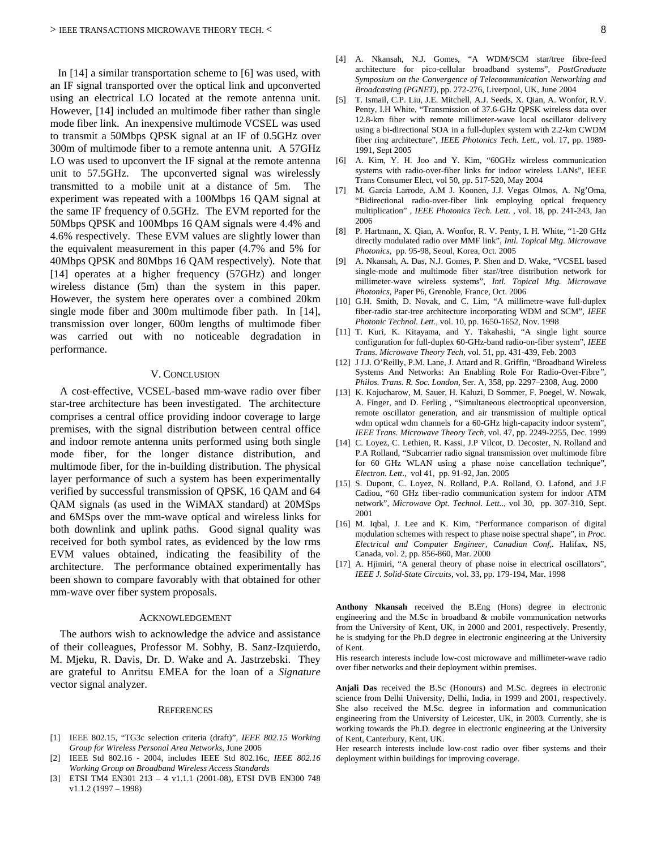In [14] a similar transportation scheme to [6] was used, with an IF signal transported over the optical link and upconverted using an electrical LO located at the remote antenna unit. However, [14] included an multimode fiber rather than single mode fiber link. An inexpensive multimode VCSEL was used to transmit a 50Mbps QPSK signal at an IF of 0.5GHz over 300m of multimode fiber to a remote antenna unit. A 57GHz LO was used to upconvert the IF signal at the remote antenna unit to 57.5GHz. The upconverted signal was wirelessly transmitted to a mobile unit at a distance of 5m. The experiment was repeated with a 100Mbps 16 QAM signal at the same IF frequency of 0.5GHz. The EVM reported for the 50Mbps QPSK and 100Mbps 16 QAM signals were 4.4% and 4.6% respectively. These EVM values are slightly lower than the equivalent measurement in this paper (4.7% and 5% for 40Mbps QPSK and 80Mbps 16 QAM respectively). Note that [14] operates at a higher frequency (57GHz) and longer wireless distance (5m) than the system in this paper. However, the system here operates over a combined 20km single mode fiber and 300m multimode fiber path. In [14], transmission over longer, 600m lengths of multimode fiber was carried out with no noticeable degradation in performance.

#### V. CONCLUSION

A cost-effective, VCSEL-based mm-wave radio over fiber star-tree architecture has been investigated. The architecture comprises a central office providing indoor coverage to large premises, with the signal distribution between central office and indoor remote antenna units performed using both single mode fiber, for the longer distance distribution, and multimode fiber, for the in-building distribution. The physical layer performance of such a system has been experimentally verified by successful transmission of QPSK, 16 QAM and 64 QAM signals (as used in the WiMAX standard) at 20MSps and 6MSps over the mm-wave optical and wireless links for both downlink and uplink paths. Good signal quality was received for both symbol rates, as evidenced by the low rms EVM values obtained, indicating the feasibility of the architecture. The performance obtained experimentally has been shown to compare favorably with that obtained for other mm-wave over fiber system proposals.

#### ACKNOWLEDGEMENT

The authors wish to acknowledge the advice and assistance of their colleagues, Professor M. Sobhy, B. Sanz-Izquierdo, M. Mjeku, R. Davis, Dr. D. Wake and A. Jastrzebski. They are grateful to Anritsu EMEA for the loan of a *Signature* vector signal analyzer.

#### **REFERENCES**

- [1] IEEE 802.15, "TG3c selection criteria (draft)", *IEEE 802.15 Working Group for Wireless Personal Area Networks,* June 2006
- [2] IEEE Std 802.16 2004, includes IEEE Std 802.16c, *IEEE 802.16 Working Group on Broadband Wireless Access Standards*
- [3] ETSI TM4 EN301 213 4 v1.1.1 (2001-08), ETSI DVB EN300 748 v1.1.2 (1997 – 1998)
- [4] A. Nkansah, N.J. Gomes, "A WDM/SCM star/tree fibre-feed architecture for pico-cellular broadband systems", *PostGraduate Symposium on the Convergence of Telecommunication Networking and Broadcasting (PGNET),* pp. 272-276, Liverpool, UK, June 2004
- [5] T. Ismail, C.P. Liu, J.E. Mitchell, A.J. Seeds, X. Qian, A. Wonfor, R.V. Penty, I.H White, "Transmission of 37.6-GHz QPSK wireless data over 12.8-km fiber with remote millimeter-wave local oscillator delivery using a bi-directional SOA in a full-duplex system with 2.2-km CWDM fiber ring architecture", *IEEE Photonics Tech. Lett.*, vol. 17, pp. 1989- 1991, Sept 2005
- [6] A. Kim, Y. H. Joo and Y. Kim, "60GHz wireless communication systems with radio-over-fiber links for indoor wireless LANs", IEEE Trans Consumer Elect, vol 50, pp. 517-520, May 2004
- [7] M. Garcia Larrode, A.M J. Koonen, J.J. Vegas Olmos, A. Ng'Oma, "Bidirectional radio-over-fiber link employing optical frequency multiplication" , *IEEE Photonics Tech. Lett*. , vol. 18, pp. 241-243, Jan 2006
- [8] P. Hartmann, X. Qian, A. Wonfor, R. V. Penty, I. H. White, "1-20 GHz directly modulated radio over MMF link", *Intl. Topical Mtg. Microwave Photonics*, pp. 95-98, Seoul, Korea, Oct. 2005
- [9] A. Nkansah, A. Das, N.J. Gomes, P. Shen and D. Wake, "VCSEL based single-mode and multimode fiber star//tree distribution network for millimeter-wave wireless systems", *Intl. Topical Mtg. Microwave Photonics*, Paper P6, Grenoble, France, Oct. 2006
- [10] G.H. Smith, D. Novak, and C. Lim, "A millimetre-wave full-duplex fiber-radio star-tree architecture incorporating WDM and SCM", *IEEE Photonic Technol. Lett*., vol. 10, pp. 1650-1652, Nov. 1998
- [11] T. Kuri, K. Kitayama, and Y. Takahashi, "A single light source configuration for full-duplex 60-GHz-band radio-on-fiber system", *IEEE Trans. Microwave Theory Tech*, vol. 51, pp. 431-439, Feb. 2003
- [12] J J.J. O'Reilly, P.M. Lane, J. Attard and R. Griffin, "Broadband Wireless Systems And Networks: An Enabling Role For Radio-Over-Fibre*", Philos. Trans. R. Soc. London,* Ser. A, 358*,* pp. 2297–2308*,* Aug. 2000
- [13] K. Kojucharow, M. Sauer, H. Kaluzi, D Sommer, F. Poegel, W. Nowak, A. Finger, and D. Ferling , "Simultaneous electrooptical upconversion, remote oscillator generation, and air transmission of multiple optical wdm optical wdm channels for a 60-GHz high-capacity indoor system", *IEEE Trans. Microwave Theory Tech*, vol. 47, pp. 2249-2255, Dec. 1999
- [14] C. Loyez, C. Lethien, R. Kassi, J.P Vilcot, D. Decoster, N. Rolland and P.A Rolland, "Subcarrier radio signal transmission over multimode fibre for 60 GHz WLAN using a phase noise cancellation technique", *Electron. Lett*., vol 41, pp. 91-92, Jan. 2005
- [15] S. Dupont, C. Loyez, N. Rolland, P.A. Rolland, O. Lafond, and J.F Cadiou, "60 GHz fiber-radio communication system for indoor ATM network", *Microwave Opt. Technol. Lett.*., vol 30, pp. 307-310, Sept. 2001
- [16] M. Iqbal, J. Lee and K. Kim, "Performance comparison of digital modulation schemes with respect to phase noise spectral shape", in *Proc. Electrical and Computer Engineer, Canadian Conf,.* Halifax, NS, Canada, vol. 2, pp. 856-860, Mar. 2000
- [17] A. Hjimiri, "A general theory of phase noise in electrical oscillators", *IEEE J. Solid-State Circuits*, vol. 33, pp. 179-194, Mar. 1998

**Anthony Nkansah** received the B.Eng (Hons) degree in electronic engineering and the M.Sc in broadband & mobile vommunication networks from the University of Kent, UK, in 2000 and 2001, respectively. Presently, he is studying for the Ph.D degree in electronic engineering at the University of Kent.

His research interests include low-cost microwave and millimeter-wave radio over fiber networks and their deployment within premises.

**Anjali Das** received the B.Sc (Honours) and M.Sc. degrees in electronic science from Delhi University, Delhi, India, in 1999 and 2001, respectively. She also received the M.Sc. degree in information and communication engineering from the University of Leicester, UK, in 2003. Currently, she is working towards the Ph.D. degree in electronic engineering at the University of Kent, Canterbury, Kent, UK.

Her research interests include low-cost radio over fiber systems and their deployment within buildings for improving coverage.